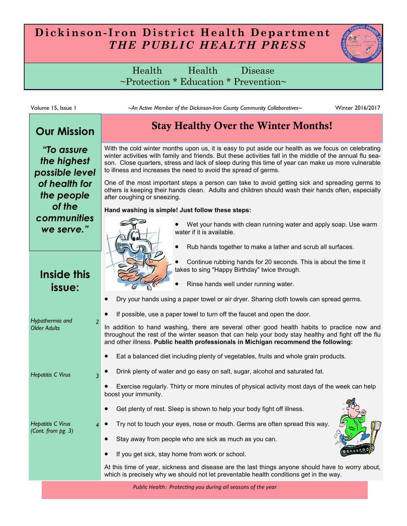## **Dickinson- Iron District Health Department** *THE PUBLIC HEALTH PRESS*

Health Health Disease ~Protection \* Education \* Prevention~

| Volume 15, Issue 1                                       | ~An Active Member of the Dickinson-Iron County Community Collaboratives~<br>Winter 2016/2017                                                                                                                                                                                                                                                                                             |
|----------------------------------------------------------|------------------------------------------------------------------------------------------------------------------------------------------------------------------------------------------------------------------------------------------------------------------------------------------------------------------------------------------------------------------------------------------|
| <b>Our Mission</b>                                       | <b>Stay Healthy Over the Winter Months!</b>                                                                                                                                                                                                                                                                                                                                              |
| "To assure<br>the highest<br>possible level              | With the cold winter months upon us, it is easy to put aside our health as we focus on celebrating<br>winter activities with family and friends. But these activities fall in the middle of the annual flu sea-<br>son. Close quarters, stress and lack of sleep during this time of year can make us more vulnerable<br>to illness and increases the need to avoid the spread of germs. |
| of health for<br>the people                              | One of the most important steps a person can take to avoid getting sick and spreading germs to<br>others is keeping their hands clean. Adults and children should wash their hands often, especially<br>after coughing or sneezing.                                                                                                                                                      |
| of the<br>communities<br>we serve."                      | Hand washing is simple! Just follow these steps:<br>Wet your hands with clean running water and apply soap. Use warm<br>water if it is available.<br>Rub hands together to make a lather and scrub all surfaces.                                                                                                                                                                         |
| Inside this<br>issue:                                    | Continue rubbing hands for 20 seconds. This is about the time it<br>takes to sing "Happy Birthday" twice through.<br>Rinse hands well under running water.                                                                                                                                                                                                                               |
|                                                          | Dry your hands using a paper towel or air dryer. Sharing cloth towels can spread germs.<br>$\bullet$                                                                                                                                                                                                                                                                                     |
| Hypothermia and<br>$\overline{2}$<br><b>Older Adults</b> | If possible, use a paper towel to turn off the faucet and open the door.<br>$\bullet$<br>In addition to hand washing, there are several other good health habits to practice now and<br>throughout the rest of the winter season that can help your body stay healthy and fight off the flu<br>and other illness. Public health professionals in Michigan recommend the following:       |
| <b>Hepatitis C Virus</b><br>3                            | Eat a balanced diet including plenty of vegetables, fruits and whole grain products.<br>$\bullet$<br>Drink plenty of water and go easy on salt, sugar, alcohol and saturated fat.<br>Exercise regularly. Thirty or more minutes of physical activity most days of the week can help<br>boost your immunity.                                                                              |
| <b>Hepatitis C Virus</b><br>(Cont. from pg. 3)           | Get plenty of rest. Sleep is shown to help your body fight off illness.<br>Try not to touch your eyes, nose or mouth. Germs are often spread this way.<br>Stay away from people who are sick as much as you can.<br>$\bullet$                                                                                                                                                            |
|                                                          | If you get sick, stay home from work or school.<br>At this time of year, sickness and disease are the last things anyone should have to worry about,<br>which is precisely why we should not let preventable health conditions get in the way.<br>Public Health: Protecting you during all seasons of the year                                                                           |

*Public Health: Protecting you during all seasons of the year*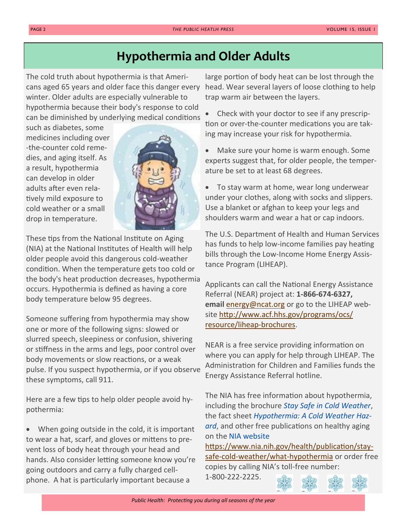## **Hypothermia and Older Adults**

The cold truth about hypothermia is that Americans aged 65 years and older face this danger every winter. Older adults are especially vulnerable to hypothermia because their body's response to cold can be diminished by underlying medical conditions

such as diabetes, some medicines including over -the-counter cold remedies, and aging itself. As a result, hypothermia can develop in older adults after even relatively mild exposure to cold weather or a small drop in temperature.



These tips from the National Institute on Aging (NIA) at the National Institutes of Health will help older people avoid this dangerous cold-weather condition. When the temperature gets too cold or the body's heat production decreases, hypothermia occurs. Hypothermia is defined as having a core body temperature below 95 degrees.

Someone suffering from hypothermia may show one or more of the following signs: slowed or slurred speech, sleepiness or confusion, shivering or stiffness in the arms and legs, poor control over body movements or slow reactions, or a weak pulse. If you suspect hypothermia, or if you observe these symptoms, call 911.

Here are a few tips to help older people avoid hypothermia:

 When going outside in the cold, it is important to wear a hat, scarf, and gloves or mittens to prevent loss of body heat through your head and hands. Also consider letting someone know you're going outdoors and carry a fully charged cellphone. A hat is particularly important because a

large portion of body heat can be lost through the head. Wear several layers of loose clothing to help trap warm air between the layers.

 Check with your doctor to see if any prescription or over-the-counter medications you are taking may increase your risk for hypothermia.

- Make sure your home is warm enough. Some experts suggest that, for older people, the temperature be set to at least 68 degrees.
- To stay warm at home, wear long underwear under your clothes, along with socks and slippers. Use a blanket or afghan to keep your legs and shoulders warm and wear a hat or cap indoors.

The U.S. Department of Health and Human Services has funds to help low-income families pay heating bills through the Low-Income Home Energy Assistance Program (LIHEAP).

Applicants can call the National Energy Assistance Referral (NEAR) project at: **1-866-674-6327, email** [energy@ncat.org](mailto:energy@ncat.org) or go to the LIHEAP website [http://www.acf.hhs.gov/programs/ocs/](http://www.acf.hhs.gov/programs/ocs/resource/liheap-brochures) [resource/liheap](http://www.acf.hhs.gov/programs/ocs/resource/liheap-brochures)-brochures.

NEAR is a free service providing information on where you can apply for help through LIHEAP. The Administration for Children and Families funds the Energy Assistance Referral hotline.

The NIA has free information about hypothermia, including the brochure *[Stay Safe in Cold Weather](https://www.nia.nih.gov/health/publication/stay-safe-cold-weather/what-hypothermia)*, the fact sheet *[Hypothermia: A Cold Weather Haz](https://www.nia.nih.gov/health/publication/hypothermia)[ard](https://www.nia.nih.gov/health/publication/hypothermia)*, and other free publications on healthy aging on the [NIA website](https://www.nia.nih.gov/)

[https://www.nia.nih.gov/health/publication/stay](https://www.nia.nih.gov/health/publication/stay-safe-cold-weather/what-hypothermia)safe-cold-[weather/what](https://www.nia.nih.gov/health/publication/stay-safe-cold-weather/what-hypothermia)-hypothermia or order free copies by calling NIA's toll-free number: 1-800-222-2225.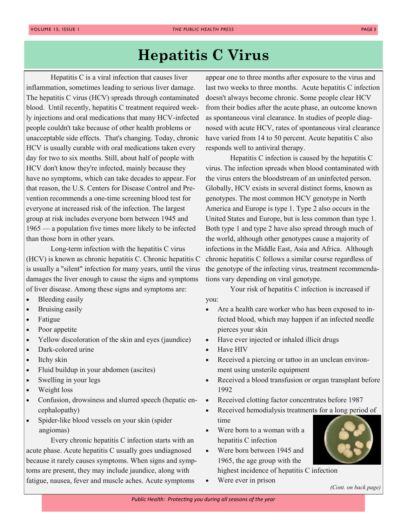# **Hepatitis C Virus**

Hepatitis C is a viral infection that causes liver inflammation, sometimes leading to serious liver damage. The hepatitis C virus (HCV) spreads through contaminated blood. Until recently, hepatitis C treatment required weekly injections and oral medications that many HCV-infected people couldn't take because of other health problems or unacceptable side effects. That's changing. Today, chronic HCV is usually curable with oral medications taken every day for two to six months. Still, about half of people with HCV don't know they're infected, mainly because they have no symptoms, which can take decades to appear. For that reason, the U.S. Centers for Disease Control and Prevention recommends a one-time screening blood test for everyone at increased risk of the infection. The largest group at risk includes everyone born between 1945 and 1965 — a population five times more likely to be infected than those born in other years.

Long-term infection with the hepatitis C virus (HCV) is known as chronic hepatitis C. Chronic hepatitis C is usually a "silent" infection for many years, until the virus damages the liver enough to cause the signs and symptoms of liver disease. Among these signs and symptoms are:

- Bleeding easily
- Bruising easily
- Fatigue
- Poor appetite
- Yellow discoloration of the skin and eyes (jaundice)
- Dark-colored urine
- Itchy skin
- Fluid buildup in your abdomen (ascites)
- Swelling in your legs
- Weight loss
- Confusion, drowsiness and slurred speech (hepatic encephalopathy)
- Spider-like blood vessels on your skin (spider angiomas)

Every chronic hepatitis C infection starts with an acute phase. Acute hepatitis C usually goes undiagnosed because it rarely causes symptoms. When signs and symptoms are present, they may include jaundice, along with fatigue, nausea, fever and muscle aches. Acute symptoms

appear one to three months after exposure to the virus and last two weeks to three months. Acute hepatitis C infection doesn't always become chronic. Some people clear HCV from their bodies after the acute phase, an outcome known as spontaneous viral clearance. In studies of people diagnosed with acute HCV, rates of spontaneous viral clearance have varied from 14 to 50 percent. Acute hepatitis C also responds well to antiviral therapy.

Hepatitis C infection is caused by the hepatitis C virus. The infection spreads when blood contaminated with the virus enters the bloodstream of an uninfected person. Globally, HCV exists in several distinct forms, known as genotypes. The most common HCV genotype in North America and Europe is type 1. Type 2 also occurs in the United States and Europe, but is less common than type 1. Both type 1 and type 2 have also spread through much of the world, although other genotypes cause a majority of infections in the Middle East, Asia and Africa. Although chronic hepatitis C follows a similar course regardless of the genotype of the infecting virus, treatment recommendations vary depending on viral genotype.

Your risk of hepatitis C infection is increased if you:

- Are a health care worker who has been exposed to infected blood, which may happen if an infected needle pierces your skin
- Have ever injected or inhaled illicit drugs
- Have HIV
- Received a piercing or tattoo in an unclean environment using unsterile equipment
- Received a blood transfusion or organ transplant before 1992
- Received clotting factor concentrates before 1987
- Received hemodialysis treatments for a long period of time
- Were born to a woman with a hepatitis C infection
- Were born between 1945 and 1965, the age group with the highest incidence of hepatitis C infection



• Were ever in prison

*(Cont. on back page)*